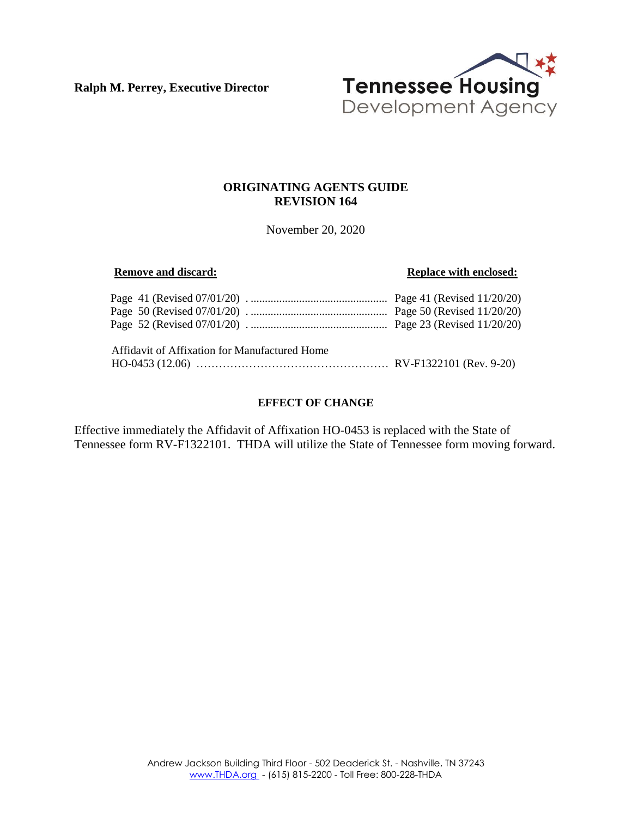**Ralph M. Perrey, Executive Director**



# **ORIGINATING AGENTS GUIDE REVISION 164**

November 20, 2020

#### **Remove and discard: Replace with enclosed:**

| Affidavit of Affixation for Manufactured Home |  |
|-----------------------------------------------|--|

#### **EFFECT OF CHANGE**

Effective immediately the Affidavit of Affixation HO-0453 is replaced with the State of Tennessee form RV-F1322101. THDA will utilize the State of Tennessee form moving forward.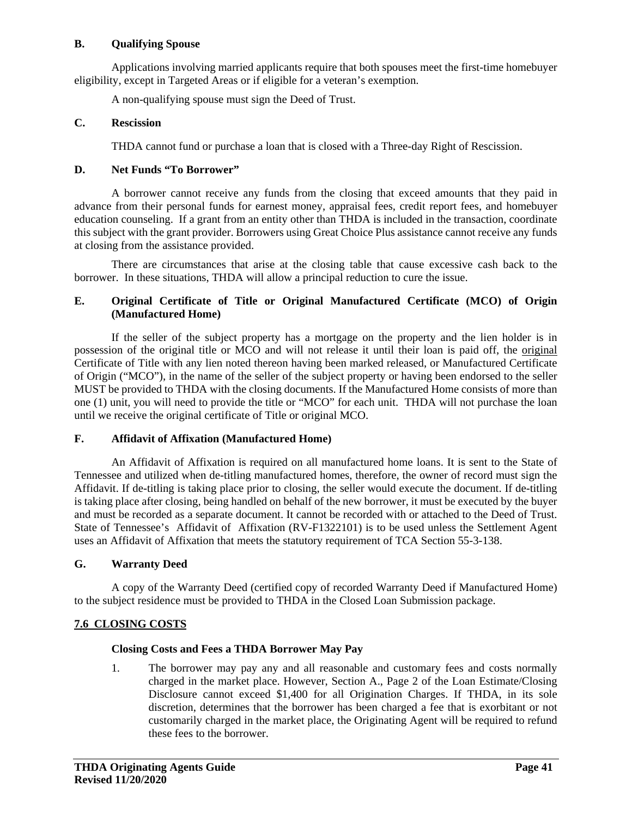#### **B. Qualifying Spouse**

Applications involving married applicants require that both spouses meet the first-time homebuyer eligibility, except in Targeted Areas or if eligible for a veteran's exemption.

A non-qualifying spouse must sign the Deed of Trust.

#### **C. Rescission**

THDA cannot fund or purchase a loan that is closed with a Three-day Right of Rescission.

#### **D. Net Funds "To Borrower"**

A borrower cannot receive any funds from the closing that exceed amounts that they paid in advance from their personal funds for earnest money, appraisal fees, credit report fees, and homebuyer education counseling. If a grant from an entity other than THDA is included in the transaction, coordinate this subject with the grant provider. Borrowers using Great Choice Plus assistance cannot receive any funds at closing from the assistance provided.

There are circumstances that arise at the closing table that cause excessive cash back to the borrower. In these situations, THDA will allow a principal reduction to cure the issue.

## **E. Original Certificate of Title or Original Manufactured Certificate (MCO) of Origin (Manufactured Home)**

If the seller of the subject property has a mortgage on the property and the lien holder is in possession of the original title or MCO and will not release it until their loan is paid off, the original Certificate of Title with any lien noted thereon having been marked released, or Manufactured Certificate of Origin ("MCO"), in the name of the seller of the subject property or having been endorsed to the seller MUST be provided to THDA with the closing documents. If the Manufactured Home consists of more than one (1) unit, you will need to provide the title or "MCO" for each unit. THDA will not purchase the loan until we receive the original certificate of Title or original MCO.

#### **F. Affidavit of Affixation (Manufactured Home)**

An Affidavit of Affixation is required on all manufactured home loans. It is sent to the State of Tennessee and utilized when de-titling manufactured homes, therefore, the owner of record must sign the Affidavit. If de-titling is taking place prior to closing, the seller would execute the document. If de-titling is taking place after closing, being handled on behalf of the new borrower, it must be executed by the buyer and must be recorded as a separate document. It cannot be recorded with or attached to the Deed of Trust. State of Tennessee's Affidavit of Affixation (RV-F1322101) is to be used unless the Settlement Agent uses an Affidavit of Affixation that meets the statutory requirement of TCA Section 55-3-138.

## **G. Warranty Deed**

A copy of the Warranty Deed (certified copy of recorded Warranty Deed if Manufactured Home) to the subject residence must be provided to THDA in the Closed Loan Submission package.

## **7.6 CLOSING COSTS**

## **Closing Costs and Fees a THDA Borrower May Pay**

1. The borrower may pay any and all reasonable and customary fees and costs normally charged in the market place. However, Section A., Page 2 of the Loan Estimate/Closing Disclosure cannot exceed \$1,400 for all Origination Charges. If THDA, in its sole discretion, determines that the borrower has been charged a fee that is exorbitant or not customarily charged in the market place, the Originating Agent will be required to refund these fees to the borrower.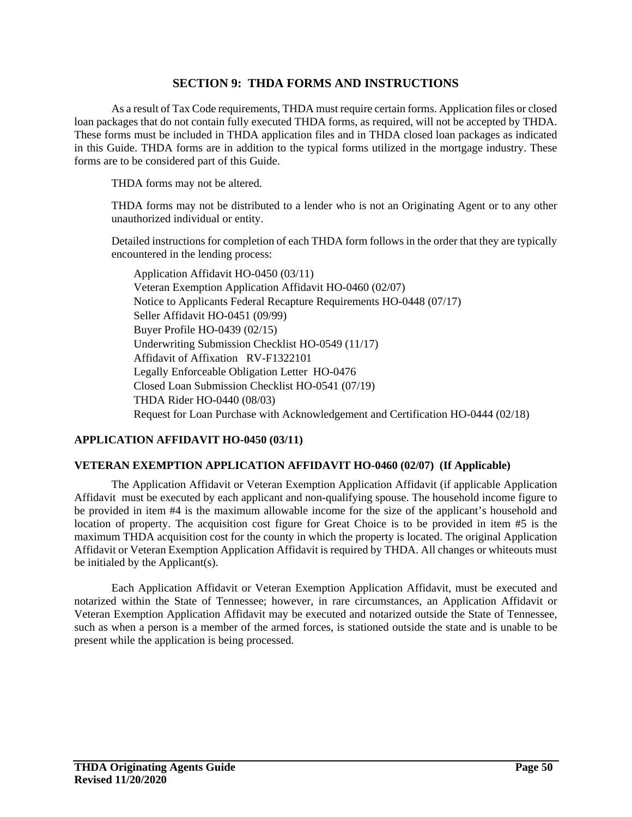# **SECTION 9: THDA FORMS AND INSTRUCTIONS**

As a result of Tax Code requirements, THDA must require certain forms. Application files or closed loan packages that do not contain fully executed THDA forms, as required, will not be accepted by THDA. These forms must be included in THDA application files and in THDA closed loan packages as indicated in this Guide. THDA forms are in addition to the typical forms utilized in the mortgage industry. These forms are to be considered part of this Guide.

THDA forms may not be altered.

THDA forms may not be distributed to a lender who is not an Originating Agent or to any other unauthorized individual or entity.

Detailed instructions for completion of each THDA form follows in the order that they are typically encountered in the lending process:

Application Affidavit HO-0450 (03/11) Veteran Exemption Application Affidavit HO-0460 (02/07) Notice to Applicants Federal Recapture Requirements HO-0448 (07/17) Seller Affidavit HO-0451 (09/99) Buyer Profile HO-0439 (02/15) Underwriting Submission Checklist HO-0549 (11/17) Affidavit of Affixation RV-F1322101 Legally Enforceable Obligation Letter HO-0476 Closed Loan Submission Checklist HO-0541 (07/19) THDA Rider HO-0440 (08/03) Request for Loan Purchase with Acknowledgement and Certification HO-0444 (02/18)

## **APPLICATION AFFIDAVIT HO-0450 (03/11)**

## **VETERAN EXEMPTION APPLICATION AFFIDAVIT HO-0460 (02/07) (If Applicable)**

The Application Affidavit or Veteran Exemption Application Affidavit (if applicable Application Affidavit must be executed by each applicant and non-qualifying spouse. The household income figure to be provided in item #4 is the maximum allowable income for the size of the applicant's household and location of property. The acquisition cost figure for Great Choice is to be provided in item #5 is the maximum THDA acquisition cost for the county in which the property is located. The original Application Affidavit or Veteran Exemption Application Affidavit is required by THDA. All changes or whiteouts must be initialed by the Applicant(s).

Each Application Affidavit or Veteran Exemption Application Affidavit, must be executed and notarized within the State of Tennessee; however, in rare circumstances, an Application Affidavit or Veteran Exemption Application Affidavit may be executed and notarized outside the State of Tennessee, such as when a person is a member of the armed forces, is stationed outside the state and is unable to be present while the application is being processed.